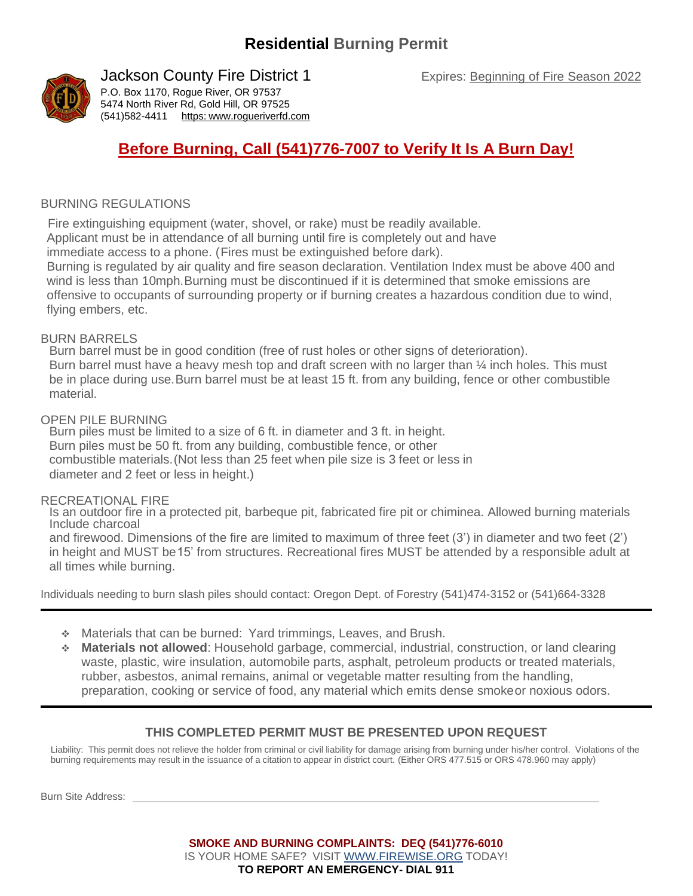

### Jackson County Fire District 1

P.O. Box 1170, Rogue River, OR 97537 5474 North River Rd, Gold Hill, OR 97525 (541)582-4411 https: [www.rogueriverfd.com](https://www.rogueriverfd.com/)

## **Before Burning, Call (541)776-7007 to Verify It Is A Burn Day!**

#### BURNING REGULATIONS

Fire extinguishing equipment (water, shovel, or rake) must be readily available.

Applicant must be in attendance of all burning until fire is completely out and have

immediate access to a phone. (Fires must be extinguished before dark).

Burning is regulated by air quality and fire season declaration. Ventilation Index must be above 400 and wind is less than 10mph.Burning must be discontinued if it is determined that smoke emissions are offensive to occupants of surrounding property or if burning creates a hazardous condition due to wind, flying embers, etc.

#### BURN BARRELS

Burn barrel must be in good condition (free of rust holes or other signs of deterioration). Burn barrel must have a heavy mesh top and draft screen with no larger than  $\frac{1}{4}$  inch holes. This must be in place during use.Burn barrel must be at least 15 ft. from any building, fence or other combustible material.

#### OPEN PILE BURNING

Burn piles must be limited to a size of 6 ft. in diameter and 3 ft. in height. Burn piles must be 50 ft. from any building, combustible fence, or other combustible materials.(Not less than 25 feet when pile size is 3 feet or less in diameter and 2 feet or less in height.)

#### RECREATIONAL FIRE

Is an outdoor fire in a protected pit, barbeque pit, fabricated fire pit or chiminea. Allowed burning materials Include charcoal

and firewood. Dimensions of the fire are limited to maximum of three feet (3') in diameter and two feet (2') in height and MUST be15' from structures. Recreational fires MUST be attended by a responsible adult at all times while burning.

Individuals needing to burn slash piles should contact: Oregon Dept. of Forestry (541)474-3152 or (541)664-3328

- ❖ Materials that can be burned: Yard trimmings, Leaves, and Brush.
- ❖ **Materials not allowed**: Household garbage, commercial, industrial, construction, or land clearing waste, plastic, wire insulation, automobile parts, asphalt, petroleum products or treated materials, rubber, asbestos, animal remains, animal or vegetable matter resulting from the handling, preparation, cooking or service of food, any material which emits dense smokeor noxious odors.

#### **THIS COMPLETED PERMIT MUST BE PRESENTED UPON REQUEST**

Liability: This permit does not relieve the holder from criminal or civil liability for damage arising from burning under his/her control. Violations of the burning requirements may result in the issuance of a citation to appear in district court. (Either ORS 477.515 or ORS 478.960 may apply)

Burn Site Address:

#### **SMOKE AND BURNING COMPLAINTS: DEQ (541)776-6010** IS YOUR HOME SAFE? VISIT [WWW.FIREWISE.ORG](http://www.firewise.org/) TODAY! **TO REPORT AN EMERGENCY- DIAL 911**